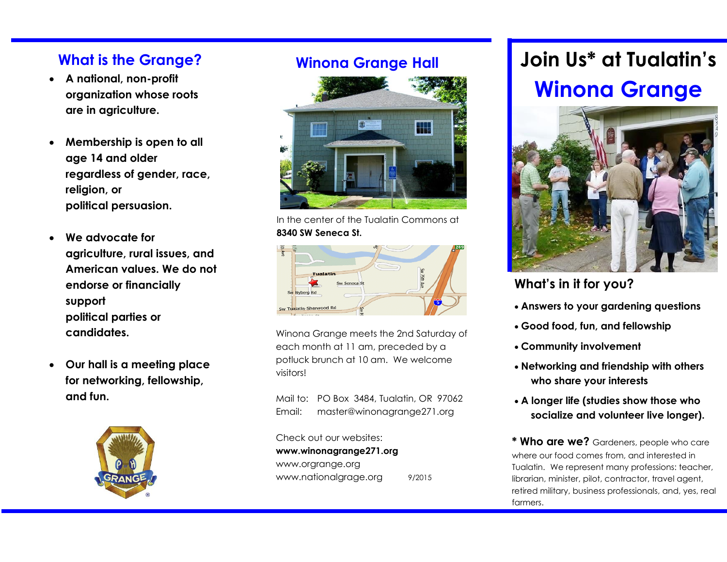- **A national, non-profit organization whose roots are in agriculture.**
- **Membership is open to all age 14 and older regardless of gender, race, religion, or political persuasion.**
- **We advocate for agriculture, rural issues, and American values. We do not endorse or financially support political parties or candidates.**
- **Our hall is a meeting place for networking, fellowship, and fun.**



#### **Winona Grange Hall**



In the center of the Tualatin Commons at **8340 SW Seneca St.**

## fualatin

Winona Grange meets the 2nd Saturday of each month at 11 am, preceded by a potluck brunch at 10 am. We welcome visitors!

Mail to: PO Box 3484, Tualatin, OR 97062 Email: master@winonagrange271.org

Check out our websites: **www.winonagrange271.org** www.orgrange.org www.nationalgrage.org 9/2015

### **What is the Grange? Join Us\* at Tualatin's Winona Grange**



#### **What's in it for you?**

- **Answers to your gardening questions**
- **Good food, fun, and fellowship**
- **Community involvement**
- **Networking and friendship with others who share your interests**
- **A longer life (studies show those who socialize and volunteer live longer).**

**\* Who are we?** Gardeners, people who care where our food comes from, and interested in Tualatin. We represent many professions: teacher, librarian, minister, pilot, contractor, travel agent, retired military, business professionals, and, yes, real farmers.